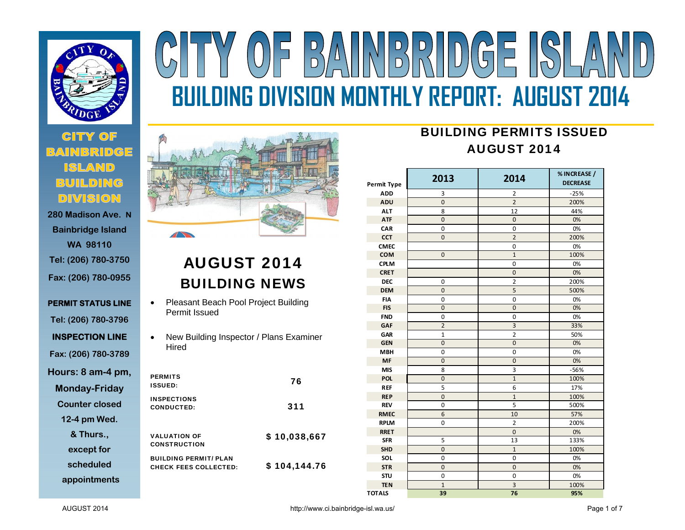

# **280 Madison Ave. N**

**Bainbridge Island WA 98110 Tel: (206) 780-3750 Fax: (206) 780-0955** 

**PERMIT STATUS LINE Tel: (206) 780-3796 INSPECTION LINE Fax: (206) 780-3789 Hours: 8 am-4 pm, Monday-Friday Counter closed 12-4 pm Wed. & Thurs.,** 

**except for** 

**scheduled** 

**appointments**





# AUGUST 2014 BUILDING NEWS

- $\bullet$  Pleasant Beach Pool Project Building Permit Issued
- $\bullet$  New Building Inspector / Plans Examiner Hired

| <b>PERMITS</b><br><b>ISSUED:</b>                             | 76           |
|--------------------------------------------------------------|--------------|
| <b>INSPECTIONS</b><br>CONDUCTED:                             | 311          |
| <b>VALUATION OF</b><br><b>CONSTRUCTION</b>                   | \$10,038,667 |
| <b>BUILDING PERMIT/ PLAN</b><br><b>CHECK FEES COLLECTED:</b> | \$104,144.76 |

## BUILDING PERMITS ISSUEDAUGUST 2014

| Permit Type   | 2013           | 2014           | % INCREASE /<br><b>DECREASE</b> |
|---------------|----------------|----------------|---------------------------------|
| <b>ADD</b>    | 3              | 2              | $-25%$                          |
| <b>ADU</b>    | $\overline{0}$ | $\overline{2}$ | 200%                            |
| <b>ALT</b>    | 8              | 12             | 44%                             |
| <b>ATF</b>    | $\mathbf{0}$   | $\overline{0}$ | 0%                              |
| CAR           | 0              | 0              | 0%                              |
| <b>CCT</b>    | $\mathbf{0}$   | $\overline{2}$ | 200%                            |
| <b>CMEC</b>   |                | 0              | 0%                              |
| <b>COM</b>    | $\mathbf 0$    | $1\,$          | 100%                            |
| <b>CPLM</b>   |                | 0              | 0%                              |
| <b>CRET</b>   |                | $\mathbf 0$    | 0%                              |
| <b>DEC</b>    | 0              | $\overline{2}$ | 200%                            |
| <b>DEM</b>    | $\mathbf 0$    | 5              | 500%                            |
| <b>FIA</b>    | 0              | 0              | 0%                              |
| <b>FIS</b>    | $\mathbf{0}$   | $\overline{0}$ | 0%                              |
| <b>FND</b>    | 0              | 0              | 0%                              |
| <b>GAF</b>    | $\overline{2}$ | $\overline{3}$ | 33%                             |
| <b>GAR</b>    | $\mathbf{1}$   | $\overline{2}$ | 50%                             |
| <b>GEN</b>    | $\mathbf{0}$   | $\overline{0}$ | 0%                              |
| <b>MBH</b>    | 0              | 0              | 0%                              |
| <b>MF</b>     | $\mathbf{0}$   | $\mathbf{0}$   | 0%                              |
| <b>MIS</b>    | 8              | 3              | $-56%$                          |
| <b>POL</b>    | $\mathbf{0}$   | $\mathbf{1}$   | 100%                            |
| <b>REF</b>    | 5              | 6              | 17%                             |
| <b>REP</b>    | $\mathbf 0$    | $\mathbf{1}$   | 100%                            |
| <b>REV</b>    | 0              | 5              | 500%                            |
| <b>RMEC</b>   | 6              | 10             | 57%                             |
| <b>RPLM</b>   | 0              | $\overline{2}$ | 200%                            |
| <b>RRET</b>   |                | $\overline{0}$ | 0%                              |
| <b>SFR</b>    | 5              | 13             | 133%                            |
| <b>SHD</b>    | $\overline{0}$ | $\mathbf{1}$   | 100%                            |
| SOL           | $\mathbf 0$    | 0              | 0%                              |
| <b>STR</b>    | $\mathbf 0$    | $\mathbf 0$    | 0%                              |
| <b>STU</b>    | $\mathbf 0$    | $\overline{0}$ | 0%                              |
| <b>TEN</b>    | $\mathbf{1}$   | 3              | 100%                            |
| <b>TOTALS</b> | 39             | 76             | 95%                             |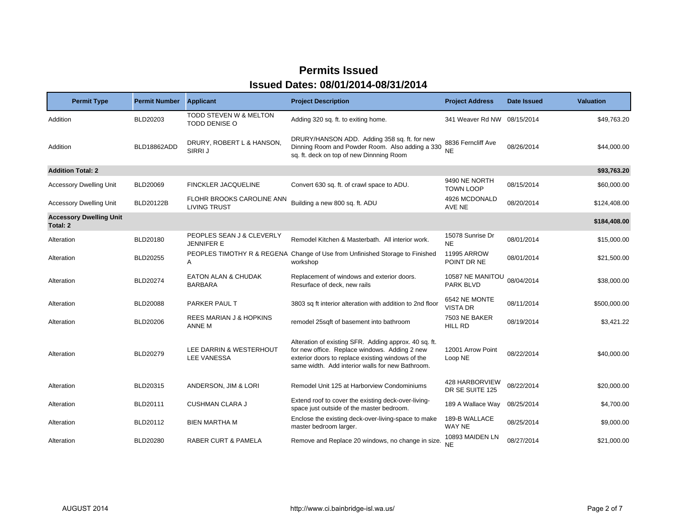| <b>Permit Type</b>                         | <b>Permit Number</b> | <b>Applicant</b>                                 | <b>Project Description</b>                                                                                                                                                                                      | <b>Project Address</b>            | Date Issued | <b>Valuation</b> |
|--------------------------------------------|----------------------|--------------------------------------------------|-----------------------------------------------------------------------------------------------------------------------------------------------------------------------------------------------------------------|-----------------------------------|-------------|------------------|
| Addition                                   | BLD20203             | TODD STEVEN W & MELTON<br><b>TODD DENISE O</b>   | Adding 320 sq. ft. to exiting home.                                                                                                                                                                             | 341 Weaver Rd NW 08/15/2014       |             | \$49,763.20      |
| Addition                                   | BLD18862ADD          | DRURY, ROBERT L & HANSON,<br>SIRRI J             | DRURY/HANSON ADD. Adding 358 sq. ft. for new<br>Dinning Room and Powder Room. Also adding a 330<br>sq. ft. deck on top of new Dinnning Room                                                                     | 8836 Ferncliff Ave<br><b>NE</b>   | 08/26/2014  | \$44,000.00      |
| <b>Addition Total: 2</b>                   |                      |                                                  |                                                                                                                                                                                                                 |                                   |             | \$93,763.20      |
| <b>Accessory Dwelling Unit</b>             | <b>BLD20069</b>      | <b>FINCKLER JACQUELINE</b>                       | Convert 630 sq. ft. of crawl space to ADU.                                                                                                                                                                      | 9490 NE NORTH<br><b>TOWN LOOP</b> | 08/15/2014  | \$60,000.00      |
| <b>Accessory Dwelling Unit</b>             | <b>BLD20122B</b>     | FLOHR BROOKS CAROLINE ANN<br><b>LIVING TRUST</b> | Building a new 800 sq. ft. ADU                                                                                                                                                                                  | 4926 MCDONALD<br>AVE NE           | 08/20/2014  | \$124,408.00     |
| <b>Accessory Dwelling Unit</b><br>Total: 2 |                      |                                                  |                                                                                                                                                                                                                 |                                   |             | \$184,408.00     |
| Alteration                                 | BLD20180             | PEOPLES SEAN J & CLEVERLY<br>JENNIFER E          | Remodel Kitchen & Masterbath. All interior work.                                                                                                                                                                | 15078 Sunrise Dr<br><b>NE</b>     | 08/01/2014  | \$15,000.00      |
| Alteration                                 | BLD20255             | Α                                                | PEOPLES TIMOTHY R & REGENA Change of Use from Unfinished Storage to Finished<br>workshop                                                                                                                        | 11995 ARROW<br>POINT DR NE        | 08/01/2014  | \$21,500.00      |
| Alteration                                 | <b>BLD20274</b>      | <b>EATON ALAN &amp; CHUDAK</b><br><b>BARBARA</b> | Replacement of windows and exterior doors.<br>Resurface of deck, new rails                                                                                                                                      | 10587 NE MANITOU<br>PARK BLVD     | 08/04/2014  | \$38,000.00      |
| Alteration                                 | <b>BLD20088</b>      | PARKER PAUL T                                    | 3803 sq ft interior alteration with addition to 2nd floor                                                                                                                                                       | 6542 NE MONTE<br>VISTA DR         | 08/11/2014  | \$500,000.00     |
| Alteration                                 | <b>BLD20206</b>      | REES MARIAN J & HOPKINS<br>ANNE M                | remodel 25sqft of basement into bathroom                                                                                                                                                                        | 7503 NE BAKER<br><b>HILL RD</b>   | 08/19/2014  | \$3,421.22       |
| Alteration                                 | BLD20279             | LEE DARRIN & WESTERHOUT<br><b>LEE VANESSA</b>    | Alteration of existing SFR. Adding approx. 40 sq. ft.<br>for new office. Replace windows. Adding 2 new<br>exterior doors to replace existing windows of the<br>same width. Add interior walls for new Bathroom. | 12001 Arrow Point<br>Loop NE      | 08/22/2014  | \$40,000.00      |
| Alteration                                 | BLD20315             | ANDERSON, JIM & LORI                             | Remodel Unit 125 at Harborview Condominiums                                                                                                                                                                     | 428 HARBORVIEW<br>DR SE SUITE 125 | 08/22/2014  | \$20,000.00      |
| Alteration                                 | BLD20111             | <b>CUSHMAN CLARA J</b>                           | Extend roof to cover the existing deck-over-living-<br>space just outside of the master bedroom.                                                                                                                | 189 A Wallace Way                 | 08/25/2014  | \$4,700.00       |
| Alteration                                 | BLD20112             | <b>BIEN MARTHA M</b>                             | Enclose the existing deck-over-living-space to make<br>master bedroom larger.                                                                                                                                   | 189-B WALLACE<br>WAY NE           | 08/25/2014  | \$9,000.00       |
| Alteration                                 | BLD20280             | <b>RABER CURT &amp; PAMELA</b>                   | Remove and Replace 20 windows, no change in size.                                                                                                                                                               | 10893 MAIDEN LN<br>NE             | 08/27/2014  | \$21,000.00      |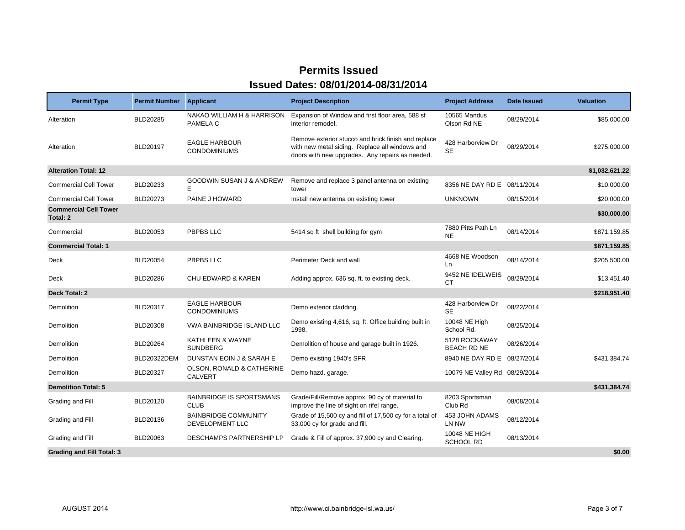| <b>Permit Type</b>                       | <b>Permit Number</b> | <b>Applicant</b>                               | <b>Project Description</b>                                                                                                                               | <b>Project Address</b>              | Date Issued | <b>Valuation</b> |
|------------------------------------------|----------------------|------------------------------------------------|----------------------------------------------------------------------------------------------------------------------------------------------------------|-------------------------------------|-------------|------------------|
| Alteration                               | BLD20285             | NAKAO WILLIAM H & HARRISON<br>PAMELA C         | Expansion of Window and first floor area, 588 sf<br>interior remodel.                                                                                    | 10565 Mandus<br>Olson Rd NE         | 08/29/2014  | \$85,000.00      |
| Alteration                               | BLD20197             | <b>EAGLE HARBOUR</b><br><b>CONDOMINIUMS</b>    | Remove exterior stucco and brick finish and replace<br>with new metal siding. Replace all windows and<br>doors with new upgrades. Any repairs as needed. | 428 Harborview Dr<br><b>SE</b>      | 08/29/2014  | \$275,000.00     |
| <b>Alteration Total: 12</b>              |                      |                                                |                                                                                                                                                          |                                     |             | \$1,032,621.22   |
| <b>Commercial Cell Tower</b>             | BLD20233             | <b>GOODWIN SUSAN J &amp; ANDREW</b><br>Е       | Remove and replace 3 panel antenna on existing<br>tower                                                                                                  | 8356 NE DAY RD E 08/11/2014         |             | \$10,000.00      |
| <b>Commercial Cell Tower</b>             | BLD20273             | PAINE J HOWARD                                 | Install new antenna on existing tower                                                                                                                    | <b>UNKNOWN</b>                      | 08/15/2014  | \$20,000.00      |
| <b>Commercial Cell Tower</b><br>Total: 2 |                      |                                                |                                                                                                                                                          |                                     |             | \$30,000.00      |
| Commercial                               | <b>BLD20053</b>      | PBPBS LLC                                      | 5414 sq ft shell building for gym                                                                                                                        | 7880 Pitts Path Ln<br><b>NE</b>     | 08/14/2014  | \$871,159.85     |
| <b>Commercial Total: 1</b>               |                      |                                                |                                                                                                                                                          |                                     |             | \$871,159.85     |
| Deck                                     | <b>BLD20054</b>      | PBPBS LLC                                      | Perimeter Deck and wall                                                                                                                                  | 4668 NE Woodson<br>Ln               | 08/14/2014  | \$205,500.00     |
| Deck                                     | <b>BLD20286</b>      | <b>CHU EDWARD &amp; KAREN</b>                  | Adding approx. 636 sq. ft. to existing deck.                                                                                                             | 9452 NE IDELWEIS<br>СT              | 08/29/2014  | \$13,451.40      |
| Deck Total: 2                            |                      |                                                |                                                                                                                                                          |                                     |             | \$218,951.40     |
| Demolition                               | BLD20317             | <b>EAGLE HARBOUR</b><br><b>CONDOMINIUMS</b>    | Demo exterior cladding.                                                                                                                                  | 428 Harborview Dr<br><b>SE</b>      | 08/22/2014  |                  |
| Demolition                               | <b>BLD20308</b>      | VWA BAINBRIDGE ISLAND LLC                      | Demo existing 4,616, sq. ft. Office building built in<br>1998.                                                                                           | 10048 NE High<br>School Rd.         | 08/25/2014  |                  |
| Demolition                               | <b>BLD20264</b>      | KATHLEEN & WAYNE<br><b>SUNDBERG</b>            | Demolition of house and garage built in 1926.                                                                                                            | 5128 ROCKAWAY<br><b>BEACH RD NE</b> | 08/26/2014  |                  |
| Demolition                               | <b>BLD20322DEM</b>   | DUNSTAN EOIN J & SARAH E                       | Demo existing 1940's SFR                                                                                                                                 | 8940 NE DAY RD E 08/27/2014         |             | \$431,384.74     |
| Demolition                               | BLD20327             | OLSON, RONALD & CATHERINE<br><b>CALVERT</b>    | Demo hazd. garage.                                                                                                                                       | 10079 NE Valley Rd 08/29/2014       |             |                  |
| <b>Demolition Total: 5</b>               |                      |                                                |                                                                                                                                                          |                                     |             | \$431,384.74     |
| Grading and Fill                         | BLD20120             | <b>BAINBRIDGE IS SPORTSMANS</b><br><b>CLUB</b> | Grade/Fill/Remove approx. 90 cy of material to<br>improve the line of sight on rifel range.                                                              | 8203 Sportsman<br>Club Rd           | 08/08/2014  |                  |
| Grading and Fill                         | BLD20136             | <b>BAINBRIDGE COMMUNITY</b><br>DEVELOPMENT LLC | Grade of 15,500 cy and fill of 17,500 cy for a total of<br>33,000 cy for grade and fill.                                                                 | 453 JOHN ADAMS<br>LN NW             | 08/12/2014  |                  |
| Grading and Fill                         | BLD20063             | DESCHAMPS PARTNERSHIP LP                       | Grade & Fill of approx. 37,900 cy and Clearing.                                                                                                          | 10048 NE HIGH<br><b>SCHOOL RD</b>   | 08/13/2014  |                  |
| <b>Grading and Fill Total: 3</b>         |                      |                                                |                                                                                                                                                          |                                     |             | \$0.00           |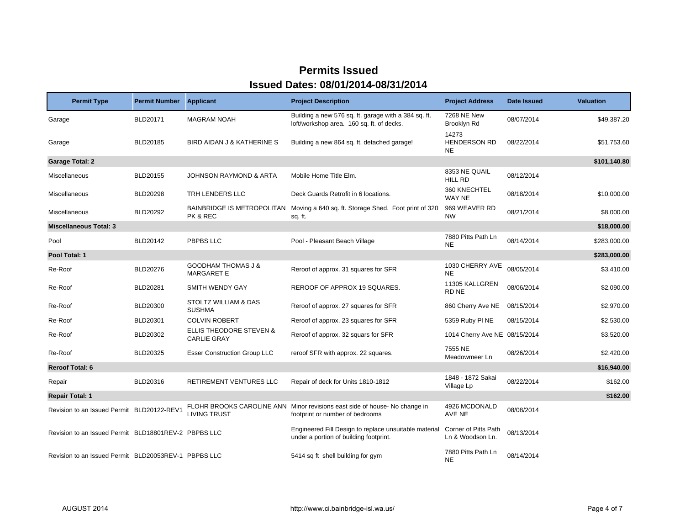| <b>Permit Type</b>                                   | <b>Permit Number</b> | <b>Applicant</b>                                         | <b>Project Description</b>                                                                                    | <b>Project Address</b>                   | Date Issued | <b>Valuation</b> |
|------------------------------------------------------|----------------------|----------------------------------------------------------|---------------------------------------------------------------------------------------------------------------|------------------------------------------|-------------|------------------|
| Garage                                               | BLD20171             | <b>MAGRAM NOAH</b>                                       | Building a new 576 sq. ft. garage with a 384 sq. ft.<br>loft/workshop area. 160 sq. ft. of decks.             | 7268 NE New<br>Brooklyn Rd               | 08/07/2014  | \$49,387.20      |
| Garage                                               | BLD20185             | BIRD AIDAN J & KATHERINE S                               | Building a new 864 sq. ft. detached garage!                                                                   | 14273<br><b>HENDERSON RD</b><br>NE.      | 08/22/2014  | \$51,753.60      |
| <b>Garage Total: 2</b>                               |                      |                                                          |                                                                                                               |                                          |             | \$101,140.80     |
| Miscellaneous                                        | <b>BLD20155</b>      | <b>JOHNSON RAYMOND &amp; ARTA</b>                        | Mobile Home Title Elm.                                                                                        | 8353 NE QUAIL<br><b>HILL RD</b>          | 08/12/2014  |                  |
| Miscellaneous                                        | <b>BLD20298</b>      | TRH LENDERS LLC                                          | Deck Guards Retrofit in 6 locations.                                                                          | 360 KNECHTEL<br>WAY NE                   | 08/18/2014  | \$10,000.00      |
| Miscellaneous                                        | BLD20292             | BAINBRIDGE IS METROPOLITAN<br>PK & REC                   | Moving a 640 sq. ft. Storage Shed. Foot print of 320<br>sq. ft.                                               | 969 WEAVER RD<br><b>NW</b>               | 08/21/2014  | \$8,000.00       |
| <b>Miscellaneous Total: 3</b>                        |                      |                                                          |                                                                                                               |                                          |             | \$18,000.00      |
| Pool                                                 | BLD20142             | PBPBS LLC                                                | Pool - Pleasant Beach Village                                                                                 | 7880 Pitts Path Ln<br><b>NE</b>          | 08/14/2014  | \$283,000.00     |
| Pool Total: 1                                        |                      |                                                          |                                                                                                               |                                          |             | \$283,000.00     |
| Re-Roof                                              | <b>BLD20276</b>      | <b>GOODHAM THOMAS J &amp;</b><br><b>MARGARET E</b>       | Reroof of approx. 31 squares for SFR                                                                          | 1030 CHERRY AVE<br><b>NE</b>             | 08/05/2014  | \$3,410.00       |
| Re-Roof                                              | BLD20281             | <b>SMITH WENDY GAY</b>                                   | REROOF OF APPROX 19 SQUARES.                                                                                  | 11305 KALLGREN<br>RD NE                  | 08/06/2014  | \$2,090.00       |
| Re-Roof                                              | BLD20300             | STOLTZ WILLIAM & DAS<br><b>SUSHMA</b>                    | Reroof of approx. 27 squares for SFR                                                                          | 860 Cherry Ave NE                        | 08/15/2014  | \$2,970.00       |
| Re-Roof                                              | BLD20301             | <b>COLVIN ROBERT</b>                                     | Reroof of approx. 23 squares for SFR                                                                          | 5359 Ruby PINE                           | 08/15/2014  | \$2,530.00       |
| Re-Roof                                              | BLD20302             | <b>ELLIS THEODORE STEVEN &amp;</b><br><b>CARLIE GRAY</b> | Reroof of approx. 32 squars for SFR                                                                           | 1014 Cherry Ave NE 08/15/2014            |             | \$3,520.00       |
| Re-Roof                                              | BLD20325             | <b>Esser Construction Group LLC</b>                      | reroof SFR with approx. 22 squares.                                                                           | 7555 NE<br>Meadowmeer Ln                 | 08/26/2014  | \$2,420.00       |
| <b>Reroof Total: 6</b>                               |                      |                                                          |                                                                                                               |                                          |             | \$16,940.00      |
| Repair                                               | BLD20316             | RETIREMENT VENTURES LLC                                  | Repair of deck for Units 1810-1812                                                                            | 1848 - 1872 Sakai<br>Village Lp          | 08/22/2014  | \$162.00         |
| <b>Repair Total: 1</b>                               |                      |                                                          |                                                                                                               |                                          |             | \$162.00         |
| Revision to an Issued Permit BLD20122-REV1           |                      | <b>LIVING TRUST</b>                                      | FLOHR BROOKS CAROLINE ANN Minor revisions east side of house- No change in<br>footprint or number of bedrooms | 4926 MCDONALD<br>AVE NE                  | 08/08/2014  |                  |
| Revision to an Issued Permit BLD18801REV-2 PBPBS LLC |                      |                                                          | Engineered Fill Design to replace unsuitable material<br>under a portion of building footprint.               | Corner of Pitts Path<br>Ln & Woodson Ln. | 08/13/2014  |                  |
| Revision to an Issued Permit BLD20053REV-1 PBPBS LLC |                      |                                                          | 5414 sq ft shell building for gym                                                                             | 7880 Pitts Path Ln<br><b>NE</b>          | 08/14/2014  |                  |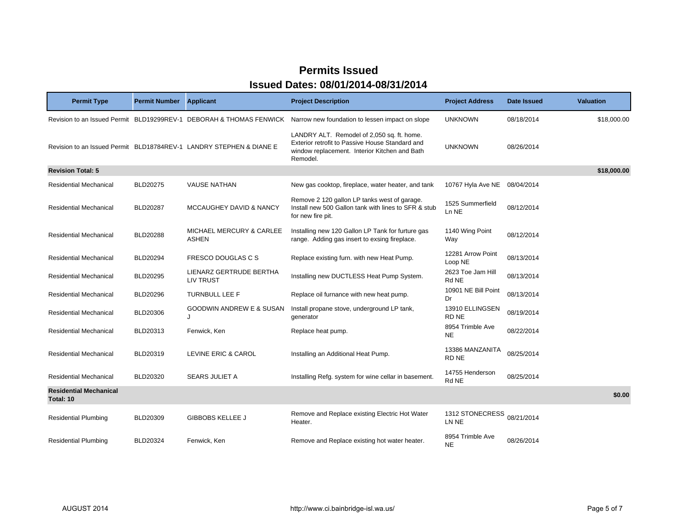| <b>Permit Type</b>                         | <b>Permit Number</b> | <b>Applicant</b>                                                    | <b>Project Description</b>                                                                                                                                 | <b>Project Address</b>        | Date Issued | <b>Valuation</b> |
|--------------------------------------------|----------------------|---------------------------------------------------------------------|------------------------------------------------------------------------------------------------------------------------------------------------------------|-------------------------------|-------------|------------------|
|                                            |                      | Revision to an Issued Permit BLD19299REV-1 DEBORAH & THOMAS FENWICK | Narrow new foundation to lessen impact on slope                                                                                                            | <b>UNKNOWN</b>                | 08/18/2014  | \$18,000.00      |
|                                            |                      | Revision to an Issued Permit BLD18784REV-1 LANDRY STEPHEN & DIANE E | LANDRY ALT. Remodel of 2,050 sq. ft. home.<br>Exterior retrofit to Passive House Standard and<br>window replacement. Interior Kitchen and Bath<br>Remodel. | <b>UNKNOWN</b>                | 08/26/2014  |                  |
| <b>Revision Total: 5</b>                   |                      |                                                                     |                                                                                                                                                            |                               |             | \$18,000.00      |
| <b>Residential Mechanical</b>              | <b>BLD20275</b>      | <b>VAUSE NATHAN</b>                                                 | New gas cooktop, fireplace, water heater, and tank                                                                                                         | 10767 Hyla Ave NE             | 08/04/2014  |                  |
| <b>Residential Mechanical</b>              | <b>BLD20287</b>      | <b>MCCAUGHEY DAVID &amp; NANCY</b>                                  | Remove 2 120 gallon LP tanks west of garage.<br>Install new 500 Gallon tank with lines to SFR & stub<br>for new fire pit.                                  | 1525 Summerfield<br>Ln NE     | 08/12/2014  |                  |
| <b>Residential Mechanical</b>              | <b>BLD20288</b>      | <b>MICHAEL MERCURY &amp; CARLEE</b><br><b>ASHEN</b>                 | Installing new 120 Gallon LP Tank for furture gas<br>range. Adding gas insert to exsing fireplace.                                                         | 1140 Wing Point<br>Way        | 08/12/2014  |                  |
| <b>Residential Mechanical</b>              | <b>BLD20294</b>      | FRESCO DOUGLAS C S                                                  | Replace existing furn. with new Heat Pump.                                                                                                                 | 12281 Arrow Point<br>Loop NE  | 08/13/2014  |                  |
| <b>Residential Mechanical</b>              | BLD20295             | LIENARZ GERTRUDE BERTHA<br><b>LIV TRUST</b>                         | Installing new DUCTLESS Heat Pump System.                                                                                                                  | 2623 Toe Jam Hill<br>Rd NE    | 08/13/2014  |                  |
| <b>Residential Mechanical</b>              | BLD20296             | TURNBULL LEE F                                                      | Replace oil furnance with new heat pump.                                                                                                                   | 10901 NE Bill Point<br>Dr     | 08/13/2014  |                  |
| <b>Residential Mechanical</b>              | BLD20306             | GOODWIN ANDREW E & SUSAN<br>J                                       | Install propane stove, underground LP tank,<br>generator                                                                                                   | 13910 ELLINGSEN<br>RD NE      | 08/19/2014  |                  |
| Residential Mechanical                     | BLD20313             | Fenwick, Ken                                                        | Replace heat pump.                                                                                                                                         | 8954 Trimble Ave<br><b>NE</b> | 08/22/2014  |                  |
| <b>Residential Mechanical</b>              | BLD20319             | LEVINE ERIC & CAROL                                                 | Installing an Additional Heat Pump.                                                                                                                        | 13386 MANZANITA<br>RD NE      | 08/25/2014  |                  |
| <b>Residential Mechanical</b>              | BLD20320             | <b>SEARS JULIET A</b>                                               | Installing Refg. system for wine cellar in basement.                                                                                                       | 14755 Henderson<br>Rd NE      | 08/25/2014  |                  |
| <b>Residential Mechanical</b><br>Total: 10 |                      |                                                                     |                                                                                                                                                            |                               |             | \$0.00           |
| <b>Residential Plumbing</b>                | BLD20309             | <b>GIBBOBS KELLEE J</b>                                             | Remove and Replace existing Electric Hot Water<br>Heater.                                                                                                  | 1312 STONECRESS<br>LN NE      | 08/21/2014  |                  |
| <b>Residential Plumbing</b>                | BLD20324             | Fenwick, Ken                                                        | Remove and Replace existing hot water heater.                                                                                                              | 8954 Trimble Ave<br><b>NE</b> | 08/26/2014  |                  |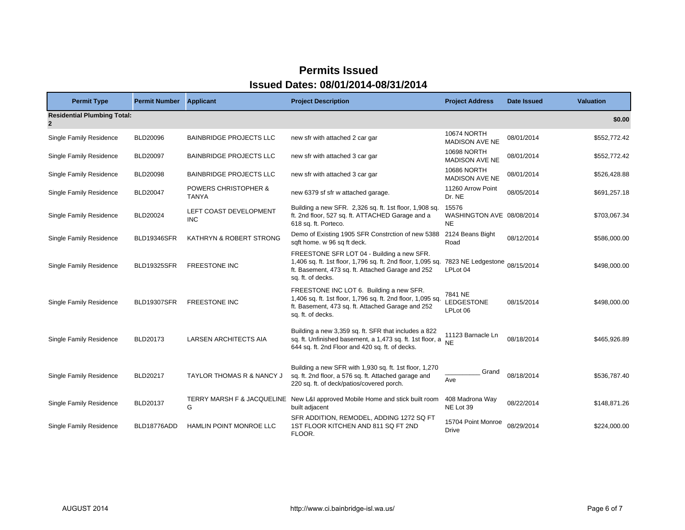| <b>Permit Type</b>                                 | <b>Permit Number Applicant</b> |                                      | <b>Project Description</b>                                                                                                                                                                                        | <b>Project Address</b>                          | Date Issued | <b>Valuation</b> |
|----------------------------------------------------|--------------------------------|--------------------------------------|-------------------------------------------------------------------------------------------------------------------------------------------------------------------------------------------------------------------|-------------------------------------------------|-------------|------------------|
| <b>Residential Plumbing Total:</b><br>$\mathbf{2}$ |                                |                                      |                                                                                                                                                                                                                   |                                                 |             | \$0.00           |
| <b>Single Family Residence</b>                     | <b>BLD20096</b>                | <b>BAINBRIDGE PROJECTS LLC</b>       | new sfr with attached 2 car gar                                                                                                                                                                                   | <b>10674 NORTH</b><br><b>MADISON AVE NE</b>     | 08/01/2014  | \$552,772.42     |
| Single Family Residence                            | <b>BLD20097</b>                | <b>BAINBRIDGE PROJECTS LLC</b>       | new sfr with attached 3 car gar                                                                                                                                                                                   | <b>10698 NORTH</b><br><b>MADISON AVE NE</b>     | 08/01/2014  | \$552,772.42     |
| Single Family Residence                            | <b>BLD20098</b>                | <b>BAINBRIDGE PROJECTS LLC</b>       | new sfr with attached 3 car gar                                                                                                                                                                                   | <b>10686 NORTH</b><br><b>MADISON AVE NE</b>     | 08/01/2014  | \$526,428.88     |
| Single Family Residence                            | BLD20047                       | POWERS CHRISTOPHER &<br><b>TANYA</b> | new 6379 sf sfr w attached garage.                                                                                                                                                                                | 11260 Arrow Point<br>Dr. NE                     | 08/05/2014  | \$691,257.18     |
| <b>Single Family Residence</b>                     | BLD20024                       | LEFT COAST DEVELOPMENT<br><b>INC</b> | Building a new SFR. 2,326 sq. ft. 1st floor, 1,908 sq.<br>ft. 2nd floor, 527 sq. ft. ATTACHED Garage and a<br>618 sq. ft. Porteco.                                                                                | 15576<br>WASHINGTON AVE 08/08/2014<br><b>NE</b> |             | \$703,067.34     |
| Single Family Residence                            | <b>BLD19346SFR</b>             | KATHRYN & ROBERT STRONG              | Demo of Existing 1905 SFR Constrction of new 5388<br>sqft home. w 96 sq ft deck.                                                                                                                                  | 2124 Beans Bight<br>Road                        | 08/12/2014  | \$586,000.00     |
| Single Family Residence                            | <b>BLD19325SFR</b>             | <b>FREESTONE INC</b>                 | FREESTONE SFR LOT 04 - Building a new SFR.<br>1,406 sq. ft. 1st floor, 1,796 sq. ft. 2nd floor, 1,095 sq. 7823 NE Ledgestone 08/15/2014<br>ft. Basement, 473 sq. ft. Attached Garage and 252<br>sq. ft. of decks. | LPLot 04                                        |             | \$498,000.00     |
| Single Family Residence                            | <b>BLD19307SFR</b>             | <b>FREESTONE INC</b>                 | FREESTONE INC LOT 6. Building a new SFR.<br>1,406 sq. ft. 1st floor, 1,796 sq. ft. 2nd floor, 1,095 sq.<br>ft. Basement, 473 sq. ft. Attached Garage and 252<br>sq. ft. of decks.                                 | 7841 NE<br>LEDGESTONE<br>LPLot 06               | 08/15/2014  | \$498,000.00     |
| Single Family Residence                            | BLD20173                       | <b>LARSEN ARCHITECTS AIA</b>         | Building a new 3,359 sq. ft. SFR that includes a 822<br>sq. ft. Unfinished basement, a 1,473 sq. ft. 1st floor, a<br>644 sq. ft. 2nd Floor and 420 sq. ft. of decks.                                              | 11123 Barnacle Ln<br><b>NE</b>                  | 08/18/2014  | \$465,926.89     |
| <b>Single Family Residence</b>                     | BLD20217                       | TAYLOR THOMAS R & NANCY J            | Building a new SFR with 1,930 sq. ft. 1st floor, 1,270<br>sq. ft. 2nd floor, a 576 sq. ft. Attached garage and<br>220 sq. ft. of deck/patios/covered porch.                                                       | Grand<br>Ave                                    | 08/18/2014  | \$536,787.40     |
| <b>Single Family Residence</b>                     | BLD20137                       | G                                    | TERRY MARSH F & JACQUELINE New L&I approved Mobile Home and stick built room<br>built adjacent                                                                                                                    | 408 Madrona Way<br>NE Lot 39                    | 08/22/2014  | \$148,871.26     |
| Single Family Residence                            | BLD18776ADD                    | HAMLIN POINT MONROE LLC              | SFR ADDITION, REMODEL, ADDING 1272 SQ FT<br>1ST FLOOR KITCHEN AND 811 SQ FT 2ND<br>FLOOR.                                                                                                                         | 15704 Point Monroe<br><b>Drive</b>              | 08/29/2014  | \$224,000.00     |